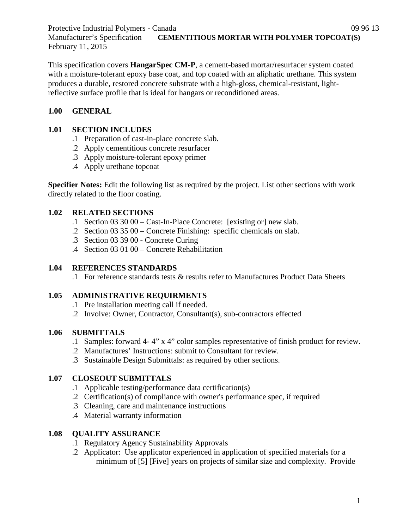This specification covers **HangarSpec CM-P**, a cement-based mortar/resurfacer system coated with a moisture-tolerant epoxy base coat, and top coated with an aliphatic urethane. This system produces a durable, restored concrete substrate with a high-gloss, chemical-resistant, lightreflective surface profile that is ideal for hangars or reconditioned areas.

# **1.00 GENERAL**

February 11, 2015

## **1.01 SECTION INCLUDES**

- .1 Preparation of cast-in-place concrete slab.
- .2 Apply cementitious concrete resurfacer
- .3 Apply moisture-tolerant epoxy primer
- .4 Apply urethane topcoat

**Specifier Notes:** Edit the following list as required by the project. List other sections with work directly related to the floor coating.

# **1.02 RELATED SECTIONS**

- .1 Section 03 30 00 Cast-In-Place Concrete: [existing or] new slab.
- .2 Section 03 35 00 Concrete Finishing: specific chemicals on slab.
- .3 Section 03 39 00 Concrete Curing
- .4 Section 03 01 00 Concrete Rehabilitation

# **1.04 REFERENCES STANDARDS**

.1 For reference standards tests & results refer to Manufactures Product Data Sheets

# **1.05 ADMINISTRATIVE REQUIRMENTS**

- .1 Pre installation meeting call if needed.
- .2 Involve: Owner, Contractor, Consultant(s), sub-contractors effected

# **1.06 SUBMITTALS**

- .1 Samples: forward 4- 4" x 4" color samples representative of finish product for review.
- .2 Manufactures' Instructions: submit to Consultant for review.
- .3 Sustainable Design Submittals: as required by other sections.

# **1.07 CLOSEOUT SUBMITTALS**

- .1 Applicable testing/performance data certification(s)
- .2 Certification(s) of compliance with owner's performance spec, if required
- .3 Cleaning, care and maintenance instructions
- .4 Material warranty information

# **1.08 QUALITY ASSURANCE**

- .1 Regulatory Agency Sustainability Approvals
- .2 Applicator: Use applicator experienced in application of specified materials for a minimum of [5] [Five] years on projects of similar size and complexity. Provide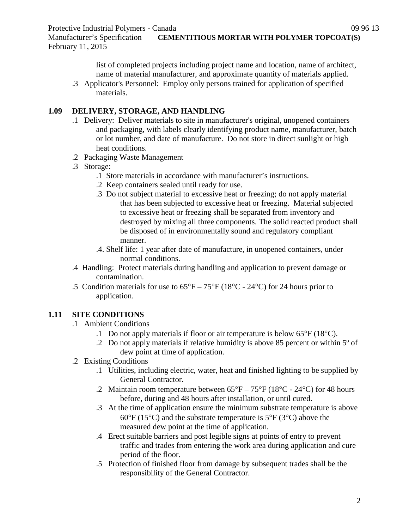Manufacturer's Specification **CEMENTITIOUS MORTAR WITH POLYMER TOPCOAT(S)** February 11, 2015

> list of completed projects including project name and location, name of architect, name of material manufacturer, and approximate quantity of materials applied.

.3 Applicator's Personnel: Employ only persons trained for application of specified materials.

#### **1.09 DELIVERY, STORAGE, AND HANDLING**

- .1 Delivery: Deliver materials to site in manufacturer's original, unopened containers and packaging, with labels clearly identifying product name, manufacturer, batch or lot number, and date of manufacture. Do not store in direct sunlight or high heat conditions.
- .2 Packaging Waste Management
- .3 Storage:
	- .1 Store materials in accordance with manufacturer's instructions.
	- .2 Keep containers sealed until ready for use.
	- .3 Do not subject material to excessive heat or freezing; do not apply material that has been subjected to excessive heat or freezing. Material subjected to excessive heat or freezing shall be separated from inventory and destroyed by mixing all three components. The solid reacted product shall be disposed of in environmentally sound and regulatory compliant manner.
	- .4. Shelf life: 1 year after date of manufacture, in unopened containers, under normal conditions.
- .4 Handling: Protect materials during handling and application to prevent damage or contamination.
- .5 Condition materials for use to  $65^{\circ}F 75^{\circ}F (18^{\circ}C 24^{\circ}C)$  for 24 hours prior to application.

# **1.11 SITE CONDITIONS**

- .1 Ambient Conditions
	- .1 Do not apply materials if floor or air temperature is below 65°F (18°C).
	- .2 Do not apply materials if relative humidity is above 85 percent or within 5º of dew point at time of application.

### .2 Existing Conditions

- .1 Utilities, including electric, water, heat and finished lighting to be supplied by General Contractor.
- .2 Maintain room temperature between  $65^{\circ}F 75^{\circ}F (18^{\circ}C 24^{\circ}C)$  for 48 hours before, during and 48 hours after installation, or until cured.
- .3 At the time of application ensure the minimum substrate temperature is above  $60^{\circ}$ F (15<sup>o</sup>C) and the substrate temperature is 5<sup>o</sup>F (3<sup>o</sup>C) above the measured dew point at the time of application.
- .4 Erect suitable barriers and post legible signs at points of entry to prevent traffic and trades from entering the work area during application and cure period of the floor.
- .5 Protection of finished floor from damage by subsequent trades shall be the responsibility of the General Contractor.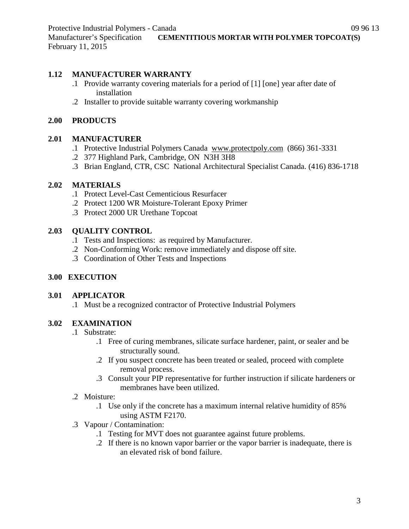#### **1.12 MANUFACTURER WARRANTY**

- .1 Provide warranty covering materials for a period of [1] [one] year after date of installation
- .2 Installer to provide suitable warranty covering workmanship

#### **2.00 PRODUCTS**

#### **2.01 MANUFACTURER**

- .1 Protective Industrial Polymers Canada [www.protectpoly.com](http://www.protectpoly.com/) (866) 361-3331
- .2 377 Highland Park, Cambridge, ON N3H 3H8
- .3 Brian England, CTR, CSC National Architectural Specialist Canada. (416) 836-1718

### **2.02 MATERIALS**

- .1 Protect Level-Cast Cementicious Resurfacer
- .2 Protect 1200 WR Moisture-Tolerant Epoxy Primer
- .3 Protect 2000 UR Urethane Topcoat

#### **2.03 QUALITY CONTROL**

- .1 Tests and Inspections: as required by Manufacturer.
- .2 Non-Conforming Work: remove immediately and dispose off site.
- .3 Coordination of Other Tests and Inspections

### **3.00 EXECUTION**

### **3.01 APPLICATOR**

.1 Must be a recognized contractor of Protective Industrial Polymers

### **3.02 EXAMINATION**

- .1 Substrate:
	- .1 Free of curing membranes, silicate surface hardener, paint, or sealer and be structurally sound.
	- .2 If you suspect concrete has been treated or sealed, proceed with complete removal process.
	- .3 Consult your PIP representative for further instruction if silicate hardeners or membranes have been utilized.
- .2 Moisture:
	- .1 Use only if the concrete has a maximum internal relative humidity of 85% using ASTM F2170.
- .3 Vapour / Contamination:
	- .1 Testing for MVT does not guarantee against future problems.
	- .2 If there is no known vapor barrier or the vapor barrier is inadequate, there is an elevated risk of bond failure.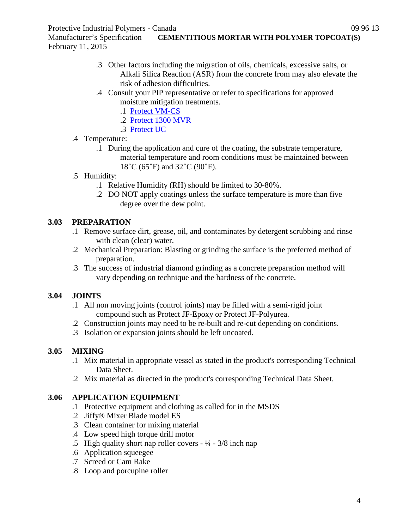Manufacturer's Specification **CEMENTITIOUS MORTAR WITH POLYMER TOPCOAT(S)** February 11, 2015

- .3 Other factors including the migration of oils, chemicals, excessive salts, or Alkali Silica Reaction (ASR) from the concrete from may also elevate the risk of adhesion difficulties.
- .4 Consult your PIP representative or refer to specifications for approved moisture mitigation treatments.
	- .1 [Protect VM-CS](http://www.protectiveindustrialpolymers.com/Upload/Canadian%20Specs/Moisture%20Mitigation%20Spec%20-%20VM-CS%20(CANADIAN).pdf)
	- .2 [Protect 1300 MVR](http://www.protectiveindustrialpolymers.com/Upload/Canadian%20Specs/Moisture%20Mitigation%20Spec%20-%201300MVR%20(CANADIAN).pdf)
	- .3 [Protect UC](http://www.protectiveindustrialpolymers.com/Upload/Canadian%20Specs/Moisture%20Mitigation%20Spec%20-%20UC%20(CANADIAN).pdf)
- .4 Temperature:
	- .1 During the application and cure of the coating, the substrate temperature, material temperature and room conditions must be maintained between 18˚C (65˚F) and 32˚C (90˚F).
- .5 Humidity:
	- .1 Relative Humidity (RH) should be limited to 30-80%.
	- .2 DO NOT apply coatings unless the surface temperature is more than five degree over the dew point.

# **3.03 PREPARATION**

- .1 Remove surface dirt, grease, oil, and contaminates by detergent scrubbing and rinse with clean (clear) water.
- .2 Mechanical Preparation: Blasting or grinding the surface is the preferred method of preparation.
- .3 The success of industrial diamond grinding as a concrete preparation method will vary depending on technique and the hardness of the concrete.

# **3.04 JOINTS**

- .1 All non moving joints (control joints) may be filled with a semi-rigid joint compound such as Protect JF-Epoxy or Protect JF-Polyurea.
- .2 Construction joints may need to be re-built and re-cut depending on conditions.
- .3 Isolation or expansion joints should be left uncoated.

# **3.05 MIXING**

- .1 Mix material in appropriate vessel as stated in the product's corresponding Technical Data Sheet.
- .2 Mix material as directed in the product's corresponding Technical Data Sheet.

# **3.06 APPLICATION EQUIPMENT**

- .1 Protective equipment and clothing as called for in the MSDS
- .2 Jiffy® Mixer Blade model ES
- .3 Clean container for mixing material
- .4 Low speed high torque drill motor
- .5 High quality short nap roller covers  $\frac{1}{4} \frac{3}{8}$  inch nap
- .6 Application squeegee
- .7 Screed or Cam Rake
- .8 Loop and porcupine roller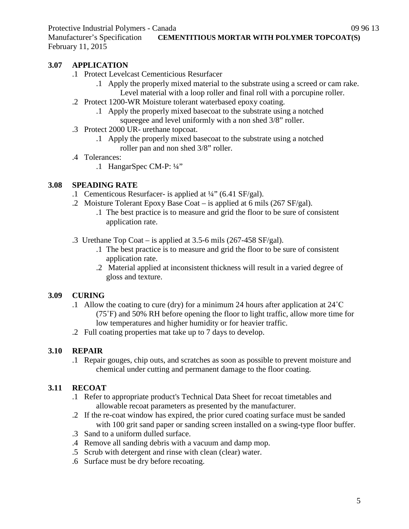Manufacturer's Specification **CEMENTITIOUS MORTAR WITH POLYMER TOPCOAT(S)** February 11, 2015

### **3.07 APPLICATION**

- .1 Protect Levelcast Cementicious Resurfacer
	- .1 Apply the properly mixed material to the substrate using a screed or cam rake. Level material with a loop roller and final roll with a porcupine roller.
- .2 Protect 1200-WR Moisture tolerant waterbased epoxy coating.
	- .1 Apply the properly mixed basecoat to the substrate using a notched squeegee and level uniformly with a non shed 3/8" roller.
- .3 Protect 2000 UR- urethane topcoat.
	- .1 Apply the properly mixed basecoat to the substrate using a notched roller pan and non shed 3/8" roller.
- .4 Tolerances:
	- .1 HangarSpec CM-P: ¼"

## **3.08 SPEADING RATE**

- .1 Cementicous Resurfacer- is applied at ¼" (6.41 SF/gal).
- .2 Moisture Tolerant Epoxy Base Coat is applied at 6 mils (267 SF/gal).
	- .1 The best practice is to measure and grid the floor to be sure of consistent application rate.
- .3 Urethane Top Coat is applied at 3.5-6 mils (267-458 SF/gal).
	- .1 The best practice is to measure and grid the floor to be sure of consistent application rate.
	- .2 Material applied at inconsistent thickness will result in a varied degree of gloss and texture.

### **3.09 CURING**

- .1 Allow the coating to cure (dry) for a minimum 24 hours after application at 24˚C (75˚F) and 50% RH before opening the floor to light traffic, allow more time for low temperatures and higher humidity or for heavier traffic.
- .2 Full coating properties mat take up to 7 days to develop.

# **3.10 REPAIR**

.1 Repair gouges, chip outs, and scratches as soon as possible to prevent moisture and chemical under cutting and permanent damage to the floor coating.

# **3.11 RECOAT**

- .1 Refer to appropriate product's Technical Data Sheet for recoat timetables and allowable recoat parameters as presented by the manufacturer.
- .2 If the re-coat window has expired, the prior cured coating surface must be sanded with 100 grit sand paper or sanding screen installed on a swing-type floor buffer.
- .3 Sand to a uniform dulled surface.
- .4 Remove all sanding debris with a vacuum and damp mop.
- .5 Scrub with detergent and rinse with clean (clear) water.
- .6 Surface must be dry before recoating.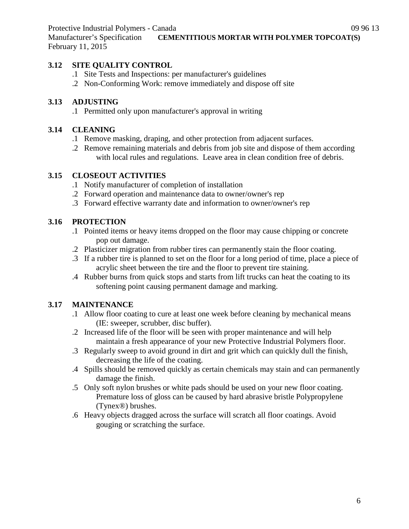Manufacturer's Specification **CEMENTITIOUS MORTAR WITH POLYMER TOPCOAT(S)** February 11, 2015

#### **3.12 SITE QUALITY CONTROL**

- .1 Site Tests and Inspections: per manufacturer's guidelines
- .2 Non-Conforming Work: remove immediately and dispose off site

#### **3.13 ADJUSTING**

.1 Permitted only upon manufacturer's approval in writing

#### **3.14 CLEANING**

- .1 Remove masking, draping, and other protection from adjacent surfaces.
- .2 Remove remaining materials and debris from job site and dispose of them according with local rules and regulations. Leave area in clean condition free of debris.

#### **3.15 CLOSEOUT ACTIVITIES**

- .1 Notify manufacturer of completion of installation
- .2 Forward operation and maintenance data to owner/owner's rep
- .3 Forward effective warranty date and information to owner/owner's rep

### **3.16 PROTECTION**

- .1 Pointed items or heavy items dropped on the floor may cause chipping or concrete pop out damage.
- .2 Plasticizer migration from rubber tires can permanently stain the floor coating.
- .3 If a rubber tire is planned to set on the floor for a long period of time, place a piece of acrylic sheet between the tire and the floor to prevent tire staining.
- .4 Rubber burns from quick stops and starts from lift trucks can heat the coating to its softening point causing permanent damage and marking.

### **3.17 MAINTENANCE**

- .1 Allow floor coating to cure at least one week before cleaning by mechanical means (IE: sweeper, scrubber, disc buffer).
- .2 Increased life of the floor will be seen with proper maintenance and will help maintain a fresh appearance of your new Protective Industrial Polymers floor.
- .3 Regularly sweep to avoid ground in dirt and grit which can quickly dull the finish, decreasing the life of the coating.
- .4 Spills should be removed quickly as certain chemicals may stain and can permanently damage the finish.
- .5 Only soft nylon brushes or white pads should be used on your new floor coating. Premature loss of gloss can be caused by hard abrasive bristle Polypropylene (Tynex®) brushes.
- .6 Heavy objects dragged across the surface will scratch all floor coatings. Avoid gouging or scratching the surface.